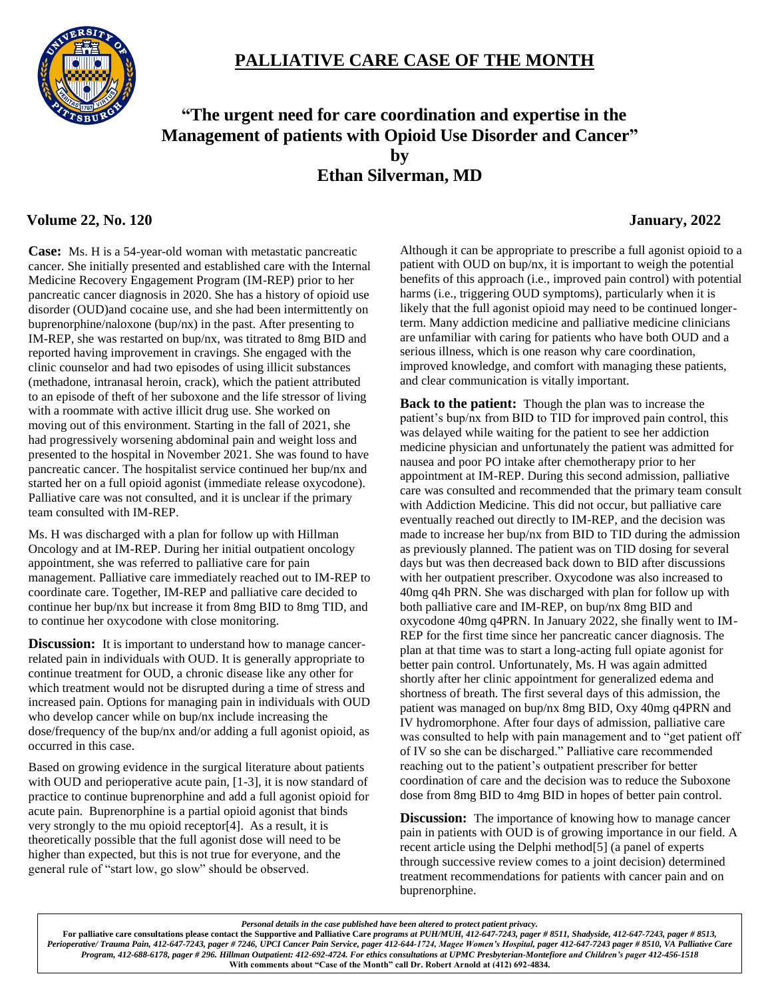# **PALLIATIVE CARE CASE OF THE MONTH**



## **"The urgent need for care coordination and expertise in the Management of patients with Opioid Use Disorder and Cancer" by Ethan Silverman, MD**

## **Volume 22, No. 120 January, 2022**

**Case:** Ms. H is a 54-year-old woman with metastatic pancreatic cancer. She initially presented and established care with the Internal Medicine Recovery Engagement Program (IM-REP) prior to her pancreatic cancer diagnosis in 2020. She has a history of opioid use disorder (OUD)and cocaine use, and she had been intermittently on buprenorphine/naloxone (bup/nx) in the past. After presenting to IM-REP, she was restarted on bup/nx, was titrated to 8mg BID and reported having improvement in cravings. She engaged with the clinic counselor and had two episodes of using illicit substances (methadone, intranasal heroin, crack), which the patient attributed to an episode of theft of her suboxone and the life stressor of living with a roommate with active illicit drug use. She worked on moving out of this environment. Starting in the fall of 2021, she

had progressively worsening abdominal pain and weight loss and presented to the hospital in November 2021. She was found to have pancreatic cancer. The hospitalist service continued her bup/nx and started her on a full opioid agonist (immediate release oxycodone). Palliative care was not consulted, and it is unclear if the primary team consulted with IM-REP.

Ms. H was discharged with a plan for follow up with Hillman Oncology and at IM-REP. During her initial outpatient oncology appointment, she was referred to palliative care for pain management. Palliative care immediately reached out to IM-REP to coordinate care. Together, IM-REP and palliative care decided to continue her bup/nx but increase it from 8mg BID to 8mg TID, and to continue her oxycodone with close monitoring.

**Discussion:** It is important to understand how to manage cancerrelated pain in individuals with OUD. It is generally appropriate to continue treatment for OUD, a chronic disease like any other for which treatment would not be disrupted during a time of stress and increased pain. Options for managing pain in individuals with OUD who develop cancer while on bup/nx include increasing the dose/frequency of the bup/nx and/or adding a full agonist opioid, as occurred in this case.

Based on growing evidence in the surgical literature about patients with OUD and perioperative acute pain, [1-3], it is now standard of practice to continue buprenorphine and add a full agonist opioid for acute pain. Buprenorphine is a partial opioid agonist that binds very strongly to the mu opioid receptor[4]. As a result, it is theoretically possible that the full agonist dose will need to be higher than expected, but this is not true for everyone, and the general rule of "start low, go slow" should be observed.

Although it can be appropriate to prescribe a full agonist opioid to a patient with OUD on bup/nx, it is important to weigh the potential benefits of this approach (i.e., improved pain control) with potential harms (i.e., triggering OUD symptoms), particularly when it is likely that the full agonist opioid may need to be continued longerterm. Many addiction medicine and palliative medicine clinicians are unfamiliar with caring for patients who have both OUD and a serious illness, which is one reason why care coordination, improved knowledge, and comfort with managing these patients, and clear communication is vitally important.

**Back to the patient:** Though the plan was to increase the patient's bup/nx from BID to TID for improved pain control, this was delayed while waiting for the patient to see her addiction medicine physician and unfortunately the patient was admitted for nausea and poor PO intake after chemotherapy prior to her appointment at IM-REP. During this second admission, palliative care was consulted and recommended that the primary team consult with Addiction Medicine. This did not occur, but palliative care eventually reached out directly to IM-REP, and the decision was made to increase her bup/nx from BID to TID during the admission as previously planned. The patient was on TID dosing for several days but was then decreased back down to BID after discussions with her outpatient prescriber. Oxycodone was also increased to 40mg q4h PRN. She was discharged with plan for follow up with both palliative care and IM-REP, on bup/nx 8mg BID and oxycodone 40mg q4PRN. In January 2022, she finally went to IM-REP for the first time since her pancreatic cancer diagnosis. The plan at that time was to start a long-acting full opiate agonist for better pain control. Unfortunately, Ms. H was again admitted shortly after her clinic appointment for generalized edema and shortness of breath. The first several days of this admission, the patient was managed on bup/nx 8mg BID, Oxy 40mg q4PRN and IV hydromorphone. After four days of admission, palliative care was consulted to help with pain management and to "get patient off of IV so she can be discharged." Palliative care recommended reaching out to the patient's outpatient prescriber for better coordination of care and the decision was to reduce the Suboxone dose from 8mg BID to 4mg BID in hopes of better pain control.

**Discussion:** The importance of knowing how to manage cancer pain in patients with OUD is of growing importance in our field. A recent article using the Delphi method[5] (a panel of experts through successive review comes to a joint decision) determined treatment recommendations for patients with cancer pain and on buprenorphine.

*Personal details in the case published have been altered to protect patient privacy.*

**For palliative care consultations please contact the Supportive and Palliative Care** *programs at PUH/MUH, 412-647-7243, pager # 8511, Shadyside, 412-647-7243, pager # 8513, Perioperative/ Trauma Pain, 412-647-7243, pager # 7246, UPCI Cancer Pain Service, pager 412-644-1724, Magee Women's Hospital, pager 412-647-7243 pager # 8510, VA Palliative Care Program, 412-688-6178, pager # 296. Hillman Outpatient: 412-692-4724. For ethics consultations at UPMC Presbyterian-Montefiore and Children's pager 412-456-1518* **With comments about "Case of the Month" call Dr. Robert Arnold at (412) 692-4834.**